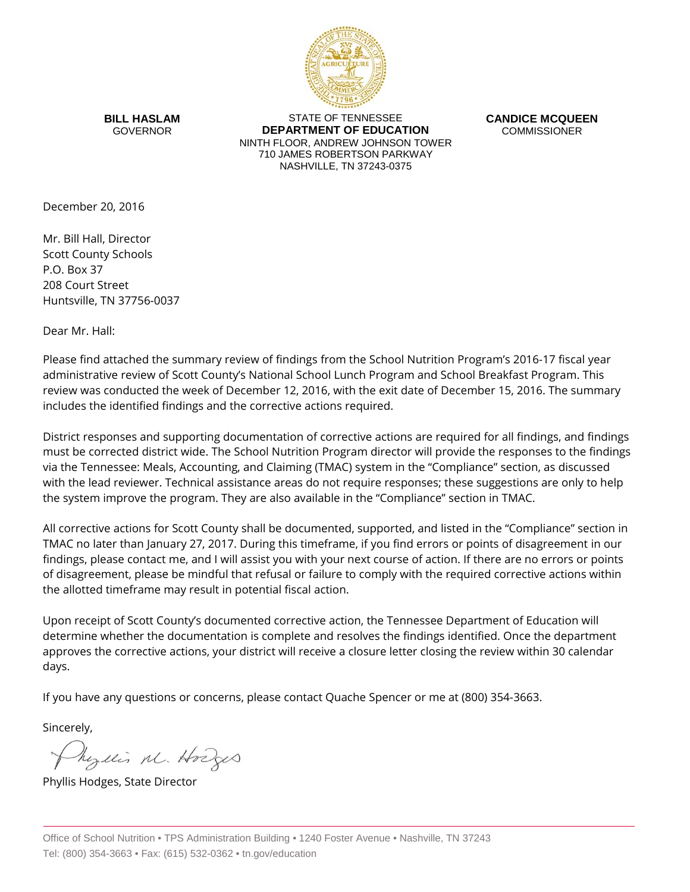

**BILL HASLAM** GOVERNOR

STATE OF TENNESSEE **DEPARTMENT OF EDUCATION** NINTH FLOOR, ANDREW JOHNSON TOWER 710 JAMES ROBERTSON PARKWAY NASHVILLE, TN 37243-0375

**CANDICE MCQUEEN** COMMISSIONER

December 20, 2016

Mr. Bill Hall, Director Scott County Schools P.O. Box 37 208 Court Street Huntsville, TN 37756-0037

Dear Mr. Hall:

Please find attached the summary review of findings from the School Nutrition Program's 2016-17 fiscal year administrative review of Scott County's National School Lunch Program and School Breakfast Program. This review was conducted the week of December 12, 2016, with the exit date of December 15, 2016. The summary includes the identified findings and the corrective actions required.

District responses and supporting documentation of corrective actions are required for all findings, and findings must be corrected district wide. The School Nutrition Program director will provide the responses to the findings via the Tennessee: Meals, Accounting, and Claiming (TMAC) system in the "Compliance" section, as discussed with the lead reviewer. Technical assistance areas do not require responses; these suggestions are only to help the system improve the program. They are also available in the "Compliance" section in TMAC.

All corrective actions for Scott County shall be documented, supported, and listed in the "Compliance" section in TMAC no later than January 27, 2017. During this timeframe, if you find errors or points of disagreement in our findings, please contact me, and I will assist you with your next course of action. If there are no errors or points of disagreement, please be mindful that refusal or failure to comply with the required corrective actions within the allotted timeframe may result in potential fiscal action.

Upon receipt of Scott County's documented corrective action, the Tennessee Department of Education will determine whether the documentation is complete and resolves the findings identified. Once the department approves the corrective actions, your district will receive a closure letter closing the review within 30 calendar days.

If you have any questions or concerns, please contact Quache Spencer or me at (800) 354-3663.

Sincerely,

Myllis M. Hodges

Phyllis Hodges, State Director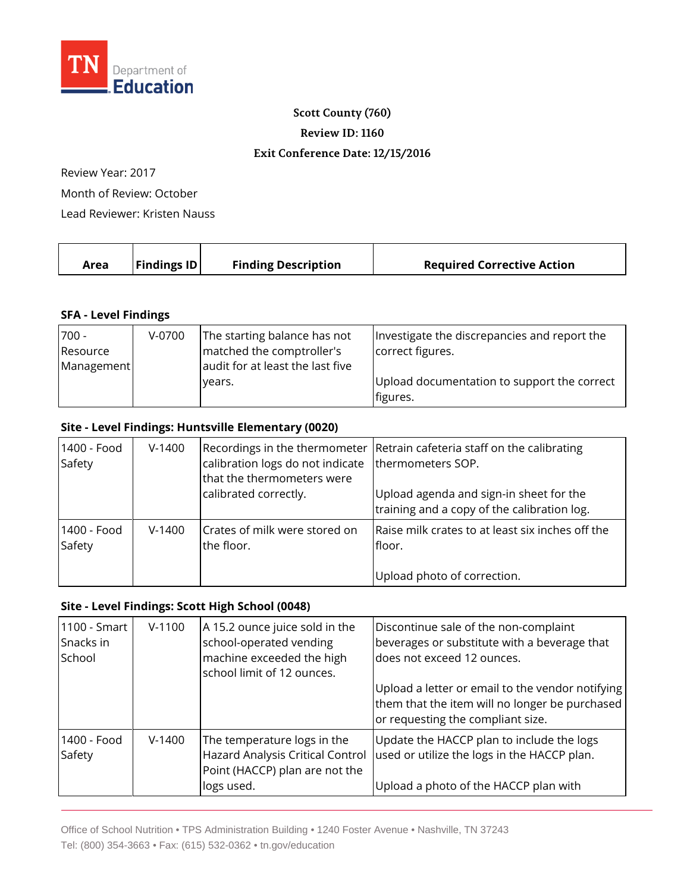

### **Scott County (760)**

**Review ID: 1160**

#### **Exit Conference Date: 12/15/2016**

Review Year: 2017

Month of Review: October

Lead Reviewer: Kristen Nauss

| <b>Findings ID</b><br><b>Finding Description</b><br><b>Required Corrective Action</b><br>Area |  |
|-----------------------------------------------------------------------------------------------|--|
|-----------------------------------------------------------------------------------------------|--|

### **SFA - Level Findings**

| $700 -$    | $V-0700$ | The starting balance has not     | Investigate the discrepancies and report the |
|------------|----------|----------------------------------|----------------------------------------------|
| Resource   |          | matched the comptroller's        | correct figures.                             |
| Management |          | audit for at least the last five |                                              |
|            |          | vears.                           | Upload documentation to support the correct  |
|            |          |                                  | figures.                                     |

## **Site - Level Findings: Huntsville Elementary (0020)**

| 1400 - Food<br>Safety | $V-1400$ | calibration logs do not indicate<br>that the thermometers were<br>calibrated correctly. | Recordings in the thermometer Retrain cafeteria staff on the calibrating<br>thermometers SOP.<br>Upload agenda and sign-in sheet for the<br>training and a copy of the calibration log. |
|-----------------------|----------|-----------------------------------------------------------------------------------------|-----------------------------------------------------------------------------------------------------------------------------------------------------------------------------------------|
| 1400 - Food<br>Safety | $V-1400$ | Crates of milk were stored on<br>the floor.                                             | Raise milk crates to at least six inches off the<br>floor.<br>Upload photo of correction.                                                                                               |

# **Site - Level Findings: Scott High School (0048)**

| 1100 - Smart<br>Snacks in<br>School | $V-1100$ | A 15.2 ounce juice sold in the<br>school-operated vending<br>machine exceeded the high<br>school limit of 12 ounces. | Discontinue sale of the non-complaint<br>beverages or substitute with a beverage that<br>does not exceed 12 ounces.                     |
|-------------------------------------|----------|----------------------------------------------------------------------------------------------------------------------|-----------------------------------------------------------------------------------------------------------------------------------------|
|                                     |          |                                                                                                                      | Upload a letter or email to the vendor notifying<br>them that the item will no longer be purchased<br>or requesting the compliant size. |
| 1400 - Food<br>Safety               | $V-1400$ | The temperature logs in the<br>Hazard Analysis Critical Control<br>Point (HACCP) plan are not the<br>logs used.      | Update the HACCP plan to include the logs<br>used or utilize the logs in the HACCP plan.<br>Upload a photo of the HACCP plan with       |